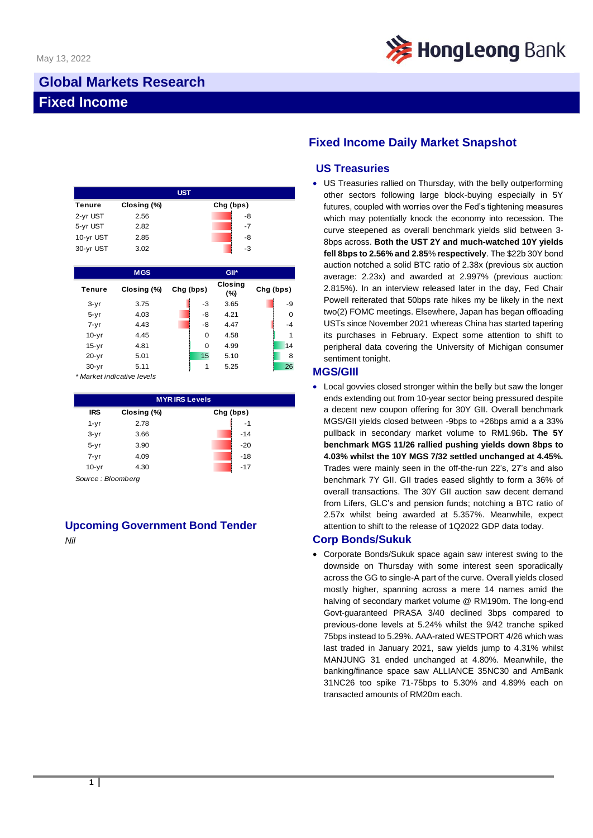

# **Global Markets Research Fixed Income**

|           |             | <b>UST</b> |      |  |
|-----------|-------------|------------|------|--|
| Tenure    | Closing (%) | Chg (bps)  |      |  |
| 2-yr UST  | 2.56        |            | -8   |  |
| 5-yr UST  | 2.82        |            | $-7$ |  |
| 10-yr UST | 2.85        |            | -8   |  |
| 30-yr UST | 3.02        |            | -3   |  |

|           | <b>MGS</b>  |           | GII*           |           |          |
|-----------|-------------|-----------|----------------|-----------|----------|
| Tenure    | Closing (%) | Chg (bps) | Closing<br>(%) | Chg (bps) |          |
| $3-yr$    | 3.75        | -3        | 3.65           |           | -9       |
| $5 - yr$  | 4.03        | -8        | 4.21           |           | $\Omega$ |
| $7 - yr$  | 4.43        | -8        | 4.47           |           | $-4$     |
| $10-yr$   | 4.45        | 0         | 4.58           |           | 1        |
| $15-yr$   | 4.81        | 0         | 4.99           |           | 14       |
| $20 - yr$ | 5.01        | 15        | 5.10           |           | 8        |
| $30 - yr$ | 5.11        | 1         | 5.25           |           | 26       |

*\* Market indicative levels*

| <b>MYRIRS Levels</b> |             |           |  |  |  |  |
|----------------------|-------------|-----------|--|--|--|--|
| <b>IRS</b>           | Closing (%) | Chg (bps) |  |  |  |  |
| $1 - yr$             | 2.78        | $-1$      |  |  |  |  |
| $3-yr$               | 3.66        | $-14$     |  |  |  |  |
| $5 - yr$             | 3.90        | $-20$     |  |  |  |  |
| $7 - yr$             | 4.09        | $-18$     |  |  |  |  |
| $10-yr$              | 4.30        | $-17$     |  |  |  |  |

*Source : Bloomberg*

## **Upcoming Government Bond Tender**

*Nil*

## **Fixed Income Daily Market Snapshot**

### **US Treasuries**

• US Treasuries rallied on Thursday, with the belly outperforming other sectors following large block-buying especially in 5Y futures, coupled with worries over the Fed's tightening measures which may potentially knock the economy into recession. The curve steepened as overall benchmark yields slid between 3- 8bps across. **Both the UST 2Y and much-watched 10Y yields fell 8bps to 2.56% and 2.85**% **respectively**. The \$22b 30Y bond auction notched a solid BTC ratio of 2.38x (previous six auction average: 2.23x) and awarded at 2.997% (previous auction: 2.815%). In an interview released later in the day, Fed Chair Powell reiterated that 50bps rate hikes my be likely in the next two(2) FOMC meetings. Elsewhere, Japan has began offloading USTs since November 2021 whereas China has started tapering its purchases in February. Expect some attention to shift to peripheral data covering the University of Michigan consumer sentiment tonight.

#### **MGS/GIIl**

• Local govvies closed stronger within the belly but saw the longer ends extending out from 10-year sector being pressured despite a decent new coupon offering for 30Y GII. Overall benchmark MGS/GII yields closed between -9bps to +26bps amid a a 33% pullback in secondary market volume to RM1.96b**. The 5Y benchmark MGS 11/26 rallied pushing yields down 8bps to 4.03% whilst the 10Y MGS 7/32 settled unchanged at 4.45%.** Trades were mainly seen in the off-the-run 22's, 27's and also benchmark 7Y GII. GII trades eased slightly to form a 36% of overall transactions. The 30Y GII auction saw decent demand from Lifers, GLC's and pension funds; notching a BTC ratio of 2.57x whilst being awarded at 5.357%. Meanwhile, expect attention to shift to the release of 1Q2022 GDP data today.

#### **Corp Bonds/Sukuk**

• Corporate Bonds/Sukuk space again saw interest swing to the downside on Thursday with some interest seen sporadically across the GG to single-A part of the curve. Overall yields closed mostly higher, spanning across a mere 14 names amid the halving of secondary market volume @ RM190m. The long-end Govt-guaranteed PRASA 3/40 declined 3bps compared to previous-done levels at 5.24% whilst the 9/42 tranche spiked 75bps instead to 5.29%. AAA-rated WESTPORT 4/26 which was last traded in January 2021, saw yields jump to 4.31% whilst MANJUNG 31 ended unchanged at 4.80%. Meanwhile, the banking/finance space saw ALLIANCE 35NC30 and AmBank 31NC26 too spike 71-75bps to 5.30% and 4.89% each on transacted amounts of RM20m each.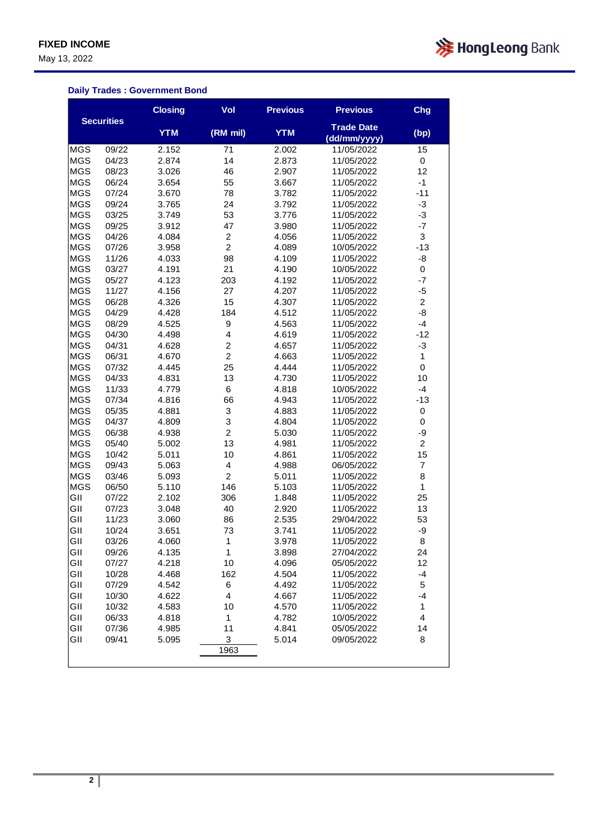May 13, 2022



### **Daily Trades : Government Bond**

|            |                   | <b>Closing</b> | Vol                     | <b>Previous</b> | <b>Previous</b>                   | Chg            |
|------------|-------------------|----------------|-------------------------|-----------------|-----------------------------------|----------------|
|            | <b>Securities</b> | <b>YTM</b>     | (RM mil)                | <b>YTM</b>      | <b>Trade Date</b><br>(dd/mm/yyyy) | (bp)           |
| <b>MGS</b> | 09/22             | 2.152          | 71                      | 2.002           | 11/05/2022                        | 15             |
| <b>MGS</b> | 04/23             | 2.874          | 14                      | 2.873           | 11/05/2022                        | 0              |
| <b>MGS</b> | 08/23             | 3.026          | 46                      | 2.907           | 11/05/2022                        | 12             |
| <b>MGS</b> | 06/24             | 3.654          | 55                      | 3.667           | 11/05/2022                        | $-1$           |
| <b>MGS</b> | 07/24             | 3.670          | 78                      | 3.782           | 11/05/2022                        | $-11$          |
| <b>MGS</b> | 09/24             | 3.765          | 24                      | 3.792           | 11/05/2022                        | $-3$           |
| <b>MGS</b> | 03/25             | 3.749          | 53                      | 3.776           | 11/05/2022                        | $-3$           |
| <b>MGS</b> | 09/25             | 3.912          | 47                      | 3.980           | 11/05/2022                        | $-7$           |
| <b>MGS</b> | 04/26             | 4.084          | $\overline{\mathbf{c}}$ | 4.056           | 11/05/2022                        | 3              |
| <b>MGS</b> | 07/26             | 3.958          | 2                       | 4.089           | 10/05/2022                        | $-13$          |
| <b>MGS</b> | 11/26             | 4.033          | 98                      | 4.109           | 11/05/2022                        | -8             |
| <b>MGS</b> | 03/27             | 4.191          | 21                      | 4.190           | 10/05/2022                        | 0              |
| <b>MGS</b> | 05/27             | 4.123          | 203                     | 4.192           | 11/05/2022                        | $-7$           |
| <b>MGS</b> | 11/27             | 4.156          | 27                      | 4.207           | 11/05/2022                        | -5             |
| <b>MGS</b> | 06/28             | 4.326          | 15                      | 4.307           | 11/05/2022                        | $\overline{c}$ |
| <b>MGS</b> | 04/29             | 4.428          | 184                     | 4.512           | 11/05/2022                        | -8             |
| <b>MGS</b> | 08/29             | 4.525          | 9                       | 4.563           | 11/05/2022                        | $-4$           |
| <b>MGS</b> | 04/30             | 4.498          | 4                       | 4.619           | 11/05/2022                        | $-12$          |
| <b>MGS</b> | 04/31             | 4.628          | 2                       | 4.657           | 11/05/2022                        | $-3$           |
| <b>MGS</b> | 06/31             | 4.670          | $\overline{c}$          | 4.663           | 11/05/2022                        | 1              |
| <b>MGS</b> | 07/32             | 4.445          | 25                      | 4.444           | 11/05/2022                        | 0              |
| <b>MGS</b> | 04/33             | 4.831          | 13                      | 4.730           | 11/05/2022                        | 10             |
| <b>MGS</b> | 11/33             | 4.779          | 6                       | 4.818           | 10/05/2022                        | $-4$           |
| <b>MGS</b> | 07/34             | 4.816          | 66                      | 4.943           | 11/05/2022                        | $-13$          |
| <b>MGS</b> | 05/35             | 4.881          | 3                       | 4.883           | 11/05/2022                        | $\mathsf 0$    |
| <b>MGS</b> | 04/37             | 4.809          | 3                       | 4.804           | 11/05/2022                        | 0              |
| <b>MGS</b> | 06/38             | 4.938          | $\overline{c}$          | 5.030           | 11/05/2022                        | -9             |
| <b>MGS</b> | 05/40             | 5.002          | 13                      | 4.981           | 11/05/2022                        | $\overline{c}$ |
| <b>MGS</b> | 10/42             | 5.011          | 10                      | 4.861           | 11/05/2022                        | 15             |
| <b>MGS</b> | 09/43             | 5.063          | 4                       | 4.988           | 06/05/2022                        | $\overline{7}$ |
| <b>MGS</b> | 03/46             | 5.093          | $\overline{c}$          | 5.011           | 11/05/2022                        | 8              |
| <b>MGS</b> | 06/50             | 5.110          | 146                     | 5.103           | 11/05/2022                        | $\mathbf{1}$   |
| GII        | 07/22             | 2.102          | 306                     | 1.848           | 11/05/2022                        | 25             |
| GII        | 07/23             | 3.048          | 40                      | 2.920           | 11/05/2022                        | 13             |
| GII        | 11/23             | 3.060          | 86                      | 2.535           | 29/04/2022                        | 53             |
| GII        | 10/24             | 3.651          | 73                      | 3.741           | 11/05/2022                        | -9             |
| GII        | 03/26             | 4.060          | 1                       | 3.978           | 11/05/2022                        | 8              |
| GII        | 09/26             | 4.135          | $\mathbf{1}$            | 3.898           | 27/04/2022                        | 24             |
| GII        | 07/27             | 4.218          | 10                      | 4.096           | 05/05/2022                        | 12             |
| GII        | 10/28             | 4.468          | 162                     | 4.504           | 11/05/2022                        | $-4$           |
| GII        | 07/29             | 4.542          | 6                       | 4.492           | 11/05/2022                        | 5              |
| GII        | 10/30             | 4.622          | 4                       | 4.667           | 11/05/2022                        | $-4$           |
| GII        | 10/32             | 4.583          | 10                      | 4.570           | 11/05/2022                        | 1              |
| GII        | 06/33             | 4.818          | 1                       | 4.782           | 10/05/2022                        | 4              |
| GII        | 07/36             | 4.985          | 11                      | 4.841           | 05/05/2022                        | 14             |
| GII        | 09/41             | 5.095          | 3                       | 5.014           | 09/05/2022                        | 8              |
|            |                   |                | 1963                    |                 |                                   |                |
|            |                   |                |                         |                 |                                   |                |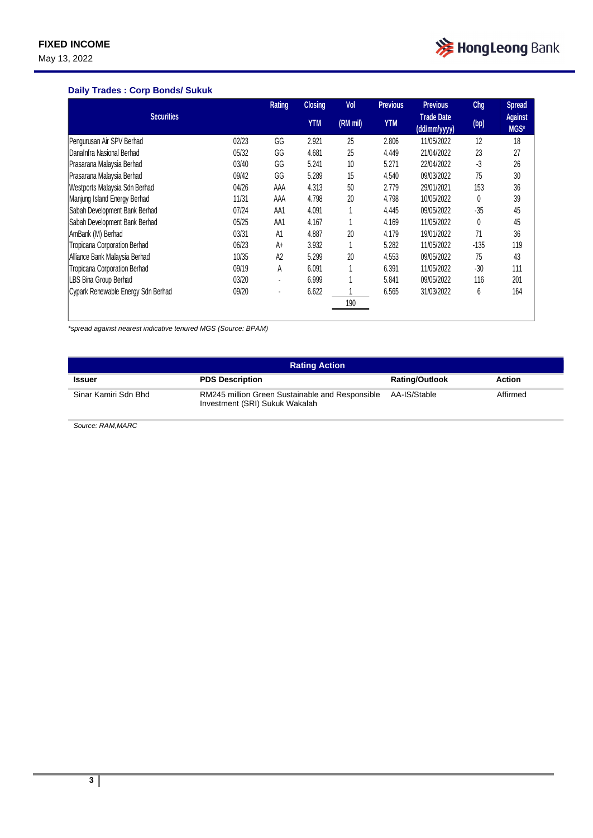May 13, 2022



### **Daily Trades : Corp Bonds/ Sukuk**

|                                    |       | Rating         | <b>Closing</b> | Vol      | <b>Previous</b> | <b>Previous</b>                   | Chg    | <b>Spread</b>          |
|------------------------------------|-------|----------------|----------------|----------|-----------------|-----------------------------------|--------|------------------------|
| <b>Securities</b>                  |       |                | <b>YTM</b>     | (RM mil) | <b>YTM</b>      | <b>Trade Date</b><br>(dd/mm/yyyy) | (bp)   | <b>Against</b><br>MGS* |
| Pengurusan Air SPV Berhad          | 02/23 | GG             | 2.921          | 25       | 2.806           | 11/05/2022                        | 12     | 18                     |
| DanaInfra Nasional Berhad          | 05/32 | GG             | 4.681          | 25       | 4.449           | 21/04/2022                        | 23     | 27                     |
| Prasarana Malaysia Berhad          | 03/40 | GG             | 5.241          | 10       | 5.271           | 22/04/2022                        | $-3$   | 26                     |
| Prasarana Malaysia Berhad          | 09/42 | GG             | 5.289          | 15       | 4.540           | 09/03/2022                        | 75     | 30                     |
| Westports Malaysia Sdn Berhad      | 04/26 | AAA            | 4.313          | 50       | 2.779           | 29/01/2021                        | 153    | 36                     |
| Manjung Island Energy Berhad       | 11/31 | AAA            | 4.798          | 20       | 4.798           | 10/05/2022                        | 0      | 39                     |
| Sabah Development Bank Berhad      | 07/24 | AA1            | 4.091          |          | 4.445           | 09/05/2022                        | $-35$  | 45                     |
| Sabah Development Bank Berhad      | 05/25 | AA1            | 4.167          |          | 4.169           | 11/05/2022                        | 0      | 45                     |
| AmBank (M) Berhad                  | 03/31 | A1             | 4.887          | 20       | 4.179           | 19/01/2022                        | 71     | 36                     |
| Tropicana Corporation Berhad       | 06/23 | $A+$           | 3.932          |          | 5.282           | 11/05/2022                        | $-135$ | 119                    |
| Alliance Bank Malaysia Berhad      | 10/35 | A <sub>2</sub> | 5.299          | 20       | 4.553           | 09/05/2022                        | 75     | 43                     |
| Tropicana Corporation Berhad       | 09/19 | А              | 6.091          |          | 6.391           | 11/05/2022                        | $-30$  | 111                    |
| LBS Bina Group Berhad              | 03/20 | ٠              | 6.999          |          | 5.841           | 09/05/2022                        | 116    | 201                    |
| Cypark Renewable Energy Sdn Berhad | 09/20 | $\blacksquare$ | 6.622          |          | 6.565           | 31/03/2022                        | 6      | 164                    |
|                                    |       |                |                | 190      |                 |                                   |        |                        |

*\*spread against nearest indicative tenured MGS (Source: BPAM)*

| <b>Rating Action</b> |                                                                                   |                       |          |  |  |  |
|----------------------|-----------------------------------------------------------------------------------|-----------------------|----------|--|--|--|
| <b>Issuer</b>        | <b>PDS Description</b>                                                            | <b>Rating/Outlook</b> | Action   |  |  |  |
| Sinar Kamiri Sdn Bhd | RM245 million Green Sustainable and Responsible<br>Investment (SRI) Sukuk Wakalah | AA-IS/Stable          | Affirmed |  |  |  |

*Source: RAM,MARC*